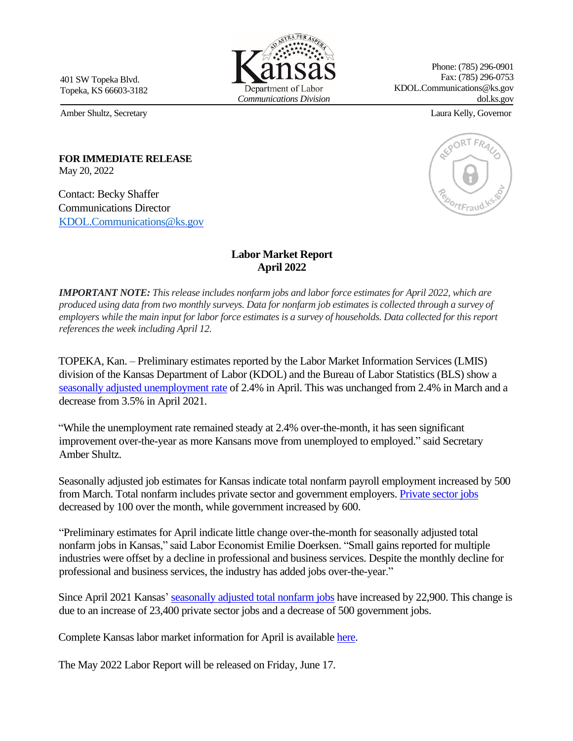401 SW Topeka Blvd. Topeka, KS 66603-3182

Amber Shultz, Secretary Laura Kelly, Governor

Phone: (785) 296-0901 Fax: (785) 296-0753 KDOL.Communications@ks.gov dol.ks.gov

## **FOR IMMEDIATE RELEASE**  May 20, 2022

Contact: Becky Shaffer Communications Director [KDOL.Communications](mailto:KDOL.Communications@ks.gov)@ks.gov

## **Labor Market Report April 2022**

*IMPORTANT NOTE: This release includes nonfarm jobs and labor force estimates for April 2022, which are produced using data from two monthly surveys. Data for nonfarm job estimates is collected through a survey of employers while the main input for labor force estimates is a survey of households. Data collected for this report references the week including April 12.* 

TOPEKA, Kan. – Preliminary estimates reported by the Labor Market Information Services (LMIS) division of the Kansas Department of Labor (KDOL) and the Bureau of Labor Statistics (BLS) show a [seasonally adjusted unemployment rate](https://klic.dol.ks.gov/admin/gsipub/htmlarea/uploads/Press%20Release/LR%20Apr2022%20SA%20Rate%20Chart%20file.pdf) [of](https://klic.dol.ks.gov/admin/gsipub/htmlarea/uploads/LR%20Aug2020%20SA%20Rate%20Chart%20file.pdf) 2.4% in April. This was unchanged from 2.4% in March and a decrease from 3.5% in April 2021.

"While the unemployment rate remained steady at 2.4% over-the-month, it has seen significant improvement over-the-year as more Kansans move from unemployed to employed." said Secretary Amber Shultz.

Seasonally adjusted job estimates for Kansas indicate total nonfarm payroll employment increased by 500 from March. Total nonfarm includes private sector and government employers. [Private sector jobs](https://klic.dol.ks.gov/admin/gsipub/htmlarea/uploads/Press%20Release/LR%20Apr2022%20SA%20PrivateEmpl%20Chart%20file.pdf) decreased by 100 over the month, while government increased by 600.

"Preliminary estimates for April indicate little change over-the-month for seasonally adjusted total nonfarm jobs in Kansas," said Labor Economist Emilie Doerksen. "Small gains reported for multiple industries were offset by a decline in professional and business services. Despite the monthly decline for professional and business services, the industry has added jobs over-the-year."

Since April 2021 Kansas' seasonally [adjusted total nonfarm jobs](https://klic.dol.ks.gov/admin/gsipub/htmlarea/uploads/Press%20Release/LR%20Apr2022%20Seasonally%20Adj%20PR%20Packet.pdf) [ha](https://klic.dol.ks.gov/admin/gsipub/htmlarea/uploads/LR%20Aug2020%20Seasonally%20Adj%20PR%20Packet.pdf)ve increased by 22,900. This change is due to an increase of 23,400 private sector jobs and a decrease of 500 government jobs.

Complete Kansas labor market information for April is available [here](https://klic.dol.ks.gov/vosnet/gsipub/documentView.aspx?docid=472)[.](https://klic.dol.ks.gov/gsipub/index.asp?docid=472)

The May 2022 Labor Report will be released on Friday, June 17.